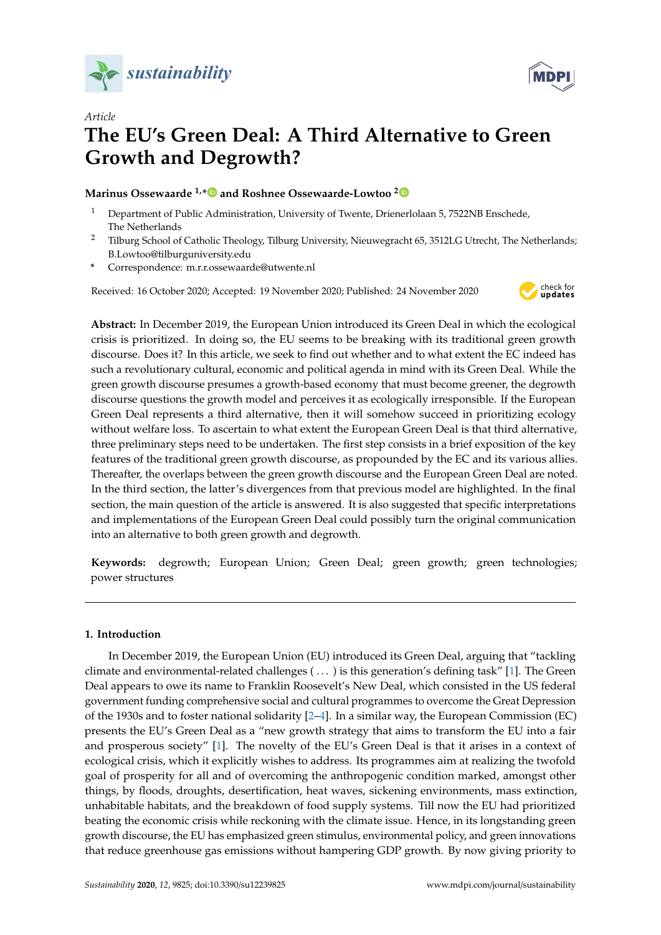

*Article*



# **The EU's Green Deal: A Third Alternative to Green Growth and Degrowth?**

# **Marinus Ossewaarde 1,[\\*](https://orcid.org/0000-0003-3449-1074) and Roshnee Ossewaarde-Lowtoo [2](https://orcid.org/0000-0001-7124-6196)**

- <sup>1</sup> Department of Public Administration, University of Twente, Drienerlolaan 5, 7522NB Enschede, The Netherlands
- <sup>2</sup> Tilburg School of Catholic Theology, Tilburg University, Nieuwegracht 65, 3512LG Utrecht, The Netherlands; B.Lowtoo@tilburguniversity.edu
- **\*** Correspondence: m.r.r.ossewaarde@utwente.nl

Received: 16 October 2020; Accepted: 19 November 2020; Published: 24 November 2020



**Abstract:** In December 2019, the European Union introduced its Green Deal in which the ecological crisis is prioritized. In doing so, the EU seems to be breaking with its traditional green growth discourse. Does it? In this article, we seek to find out whether and to what extent the EC indeed has such a revolutionary cultural, economic and political agenda in mind with its Green Deal. While the green growth discourse presumes a growth-based economy that must become greener, the degrowth discourse questions the growth model and perceives it as ecologically irresponsible. If the European Green Deal represents a third alternative, then it will somehow succeed in prioritizing ecology without welfare loss. To ascertain to what extent the European Green Deal is that third alternative, three preliminary steps need to be undertaken. The first step consists in a brief exposition of the key features of the traditional green growth discourse, as propounded by the EC and its various allies. Thereafter, the overlaps between the green growth discourse and the European Green Deal are noted. In the third section, the latter's divergences from that previous model are highlighted. In the final section, the main question of the article is answered. It is also suggested that specific interpretations and implementations of the European Green Deal could possibly turn the original communication into an alternative to both green growth and degrowth.

**Keywords:** degrowth; European Union; Green Deal; green growth; green technologies; power structures

## **1. Introduction**

In December 2019, the European Union (EU) introduced its Green Deal, arguing that "tackling climate and environmental-related challenges ( . . . ) is this generation's defining task" [\[1\]](#page-12-0). The Green Deal appears to owe its name to Franklin Roosevelt's New Deal, which consisted in the US federal government funding comprehensive social and cultural programmes to overcome the Great Depression of the 1930s and to foster national solidarity [\[2–](#page-12-1)[4\]](#page-12-2). In a similar way, the European Commission (EC) presents the EU's Green Deal as a "new growth strategy that aims to transform the EU into a fair and prosperous society" [\[1\]](#page-12-0). The novelty of the EU's Green Deal is that it arises in a context of ecological crisis, which it explicitly wishes to address. Its programmes aim at realizing the twofold goal of prosperity for all and of overcoming the anthropogenic condition marked, amongst other things, by floods, droughts, desertification, heat waves, sickening environments, mass extinction, unhabitable habitats, and the breakdown of food supply systems. Till now the EU had prioritized beating the economic crisis while reckoning with the climate issue. Hence, in its longstanding green growth discourse, the EU has emphasized green stimulus, environmental policy, and green innovations that reduce greenhouse gas emissions without hampering GDP growth. By now giving priority to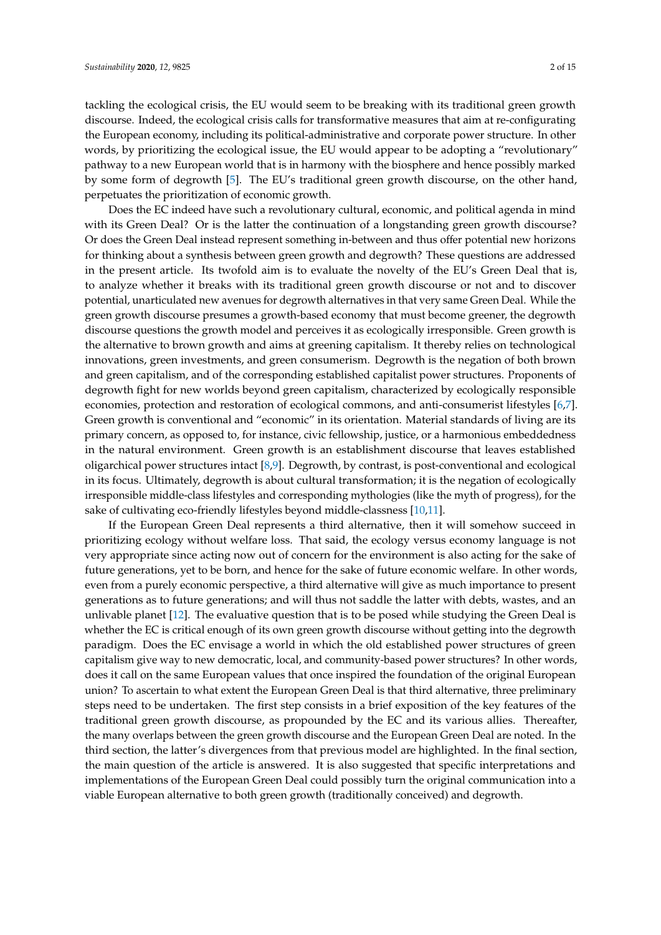tackling the ecological crisis, the EU would seem to be breaking with its traditional green growth discourse. Indeed, the ecological crisis calls for transformative measures that aim at re-configurating the European economy, including its political-administrative and corporate power structure. In other words, by prioritizing the ecological issue, the EU would appear to be adopting a "revolutionary" pathway to a new European world that is in harmony with the biosphere and hence possibly marked by some form of degrowth [\[5\]](#page-12-3). The EU's traditional green growth discourse, on the other hand, perpetuates the prioritization of economic growth.

Does the EC indeed have such a revolutionary cultural, economic, and political agenda in mind with its Green Deal? Or is the latter the continuation of a longstanding green growth discourse? Or does the Green Deal instead represent something in-between and thus offer potential new horizons for thinking about a synthesis between green growth and degrowth? These questions are addressed in the present article. Its twofold aim is to evaluate the novelty of the EU's Green Deal that is, to analyze whether it breaks with its traditional green growth discourse or not and to discover potential, unarticulated new avenues for degrowth alternatives in that very same Green Deal. While the green growth discourse presumes a growth-based economy that must become greener, the degrowth discourse questions the growth model and perceives it as ecologically irresponsible. Green growth is the alternative to brown growth and aims at greening capitalism. It thereby relies on technological innovations, green investments, and green consumerism. Degrowth is the negation of both brown and green capitalism, and of the corresponding established capitalist power structures. Proponents of degrowth fight for new worlds beyond green capitalism, characterized by ecologically responsible economies, protection and restoration of ecological commons, and anti-consumerist lifestyles [\[6,](#page-12-4)[7\]](#page-12-5). Green growth is conventional and "economic" in its orientation. Material standards of living are its primary concern, as opposed to, for instance, civic fellowship, justice, or a harmonious embeddedness in the natural environment. Green growth is an establishment discourse that leaves established oligarchical power structures intact [\[8,](#page-13-0)[9\]](#page-13-1). Degrowth, by contrast, is post-conventional and ecological in its focus. Ultimately, degrowth is about cultural transformation; it is the negation of ecologically irresponsible middle-class lifestyles and corresponding mythologies (like the myth of progress), for the sake of cultivating eco-friendly lifestyles beyond middle-classness [\[10](#page-13-2)[,11\]](#page-13-3).

If the European Green Deal represents a third alternative, then it will somehow succeed in prioritizing ecology without welfare loss. That said, the ecology versus economy language is not very appropriate since acting now out of concern for the environment is also acting for the sake of future generations, yet to be born, and hence for the sake of future economic welfare. In other words, even from a purely economic perspective, a third alternative will give as much importance to present generations as to future generations; and will thus not saddle the latter with debts, wastes, and an unlivable planet [\[12\]](#page-13-4). The evaluative question that is to be posed while studying the Green Deal is whether the EC is critical enough of its own green growth discourse without getting into the degrowth paradigm. Does the EC envisage a world in which the old established power structures of green capitalism give way to new democratic, local, and community-based power structures? In other words, does it call on the same European values that once inspired the foundation of the original European union? To ascertain to what extent the European Green Deal is that third alternative, three preliminary steps need to be undertaken. The first step consists in a brief exposition of the key features of the traditional green growth discourse, as propounded by the EC and its various allies. Thereafter, the many overlaps between the green growth discourse and the European Green Deal are noted. In the third section, the latter's divergences from that previous model are highlighted. In the final section, the main question of the article is answered. It is also suggested that specific interpretations and implementations of the European Green Deal could possibly turn the original communication into a viable European alternative to both green growth (traditionally conceived) and degrowth.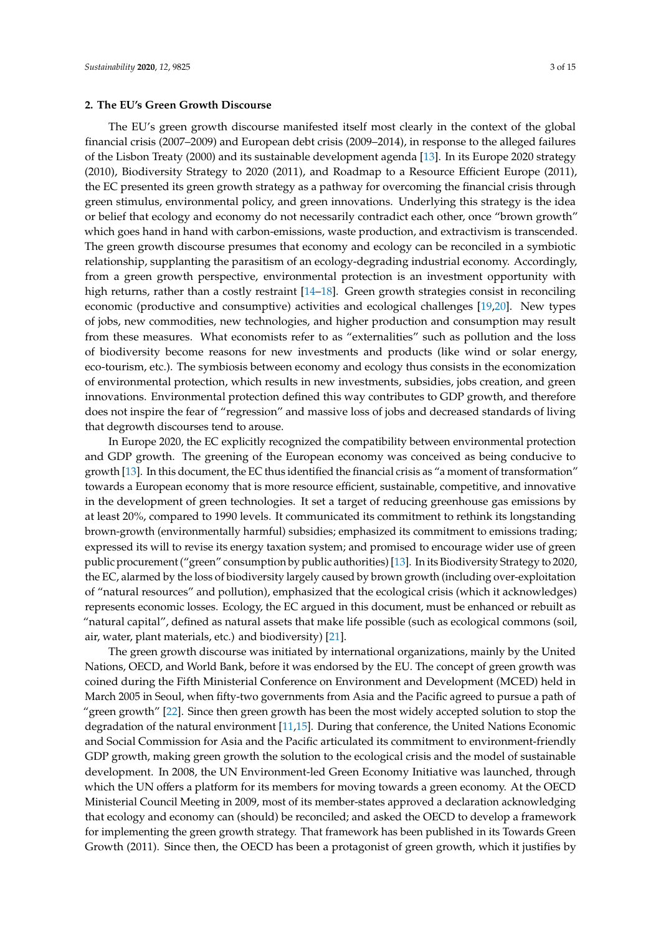The EU's green growth discourse manifested itself most clearly in the context of the global financial crisis (2007–2009) and European debt crisis (2009–2014), in response to the alleged failures of the Lisbon Treaty (2000) and its sustainable development agenda [\[13\]](#page-13-5). In its Europe 2020 strategy (2010), Biodiversity Strategy to 2020 (2011), and Roadmap to a Resource Efficient Europe (2011), the EC presented its green growth strategy as a pathway for overcoming the financial crisis through green stimulus, environmental policy, and green innovations. Underlying this strategy is the idea or belief that ecology and economy do not necessarily contradict each other, once "brown growth" which goes hand in hand with carbon-emissions, waste production, and extractivism is transcended. The green growth discourse presumes that economy and ecology can be reconciled in a symbiotic relationship, supplanting the parasitism of an ecology-degrading industrial economy. Accordingly, from a green growth perspective, environmental protection is an investment opportunity with high returns, rather than a costly restraint [\[14](#page-13-6)[–18\]](#page-13-7). Green growth strategies consist in reconciling economic (productive and consumptive) activities and ecological challenges [\[19,](#page-13-8)[20\]](#page-13-9). New types of jobs, new commodities, new technologies, and higher production and consumption may result from these measures. What economists refer to as "externalities" such as pollution and the loss of biodiversity become reasons for new investments and products (like wind or solar energy, eco-tourism, etc.). The symbiosis between economy and ecology thus consists in the economization of environmental protection, which results in new investments, subsidies, jobs creation, and green innovations. Environmental protection defined this way contributes to GDP growth, and therefore does not inspire the fear of "regression" and massive loss of jobs and decreased standards of living that degrowth discourses tend to arouse.

In Europe 2020, the EC explicitly recognized the compatibility between environmental protection and GDP growth. The greening of the European economy was conceived as being conducive to growth [\[13\]](#page-13-5). In this document, the EC thus identified the financial crisis as "a moment of transformation" towards a European economy that is more resource efficient, sustainable, competitive, and innovative in the development of green technologies. It set a target of reducing greenhouse gas emissions by at least 20%, compared to 1990 levels. It communicated its commitment to rethink its longstanding brown-growth (environmentally harmful) subsidies; emphasized its commitment to emissions trading; expressed its will to revise its energy taxation system; and promised to encourage wider use of green public procurement ("green" consumption by public authorities) [\[13\]](#page-13-5). In its Biodiversity Strategy to 2020, the EC, alarmed by the loss of biodiversity largely caused by brown growth (including over-exploitation of "natural resources" and pollution), emphasized that the ecological crisis (which it acknowledges) represents economic losses. Ecology, the EC argued in this document, must be enhanced or rebuilt as "natural capital", defined as natural assets that make life possible (such as ecological commons (soil, air, water, plant materials, etc.) and biodiversity) [\[21\]](#page-13-10).

The green growth discourse was initiated by international organizations, mainly by the United Nations, OECD, and World Bank, before it was endorsed by the EU. The concept of green growth was coined during the Fifth Ministerial Conference on Environment and Development (MCED) held in March 2005 in Seoul, when fifty-two governments from Asia and the Pacific agreed to pursue a path of "green growth" [\[22\]](#page-13-11). Since then green growth has been the most widely accepted solution to stop the degradation of the natural environment [\[11](#page-13-3)[,15\]](#page-13-12). During that conference, the United Nations Economic and Social Commission for Asia and the Pacific articulated its commitment to environment-friendly GDP growth, making green growth the solution to the ecological crisis and the model of sustainable development. In 2008, the UN Environment-led Green Economy Initiative was launched, through which the UN offers a platform for its members for moving towards a green economy. At the OECD Ministerial Council Meeting in 2009, most of its member-states approved a declaration acknowledging that ecology and economy can (should) be reconciled; and asked the OECD to develop a framework for implementing the green growth strategy. That framework has been published in its Towards Green Growth (2011). Since then, the OECD has been a protagonist of green growth, which it justifies by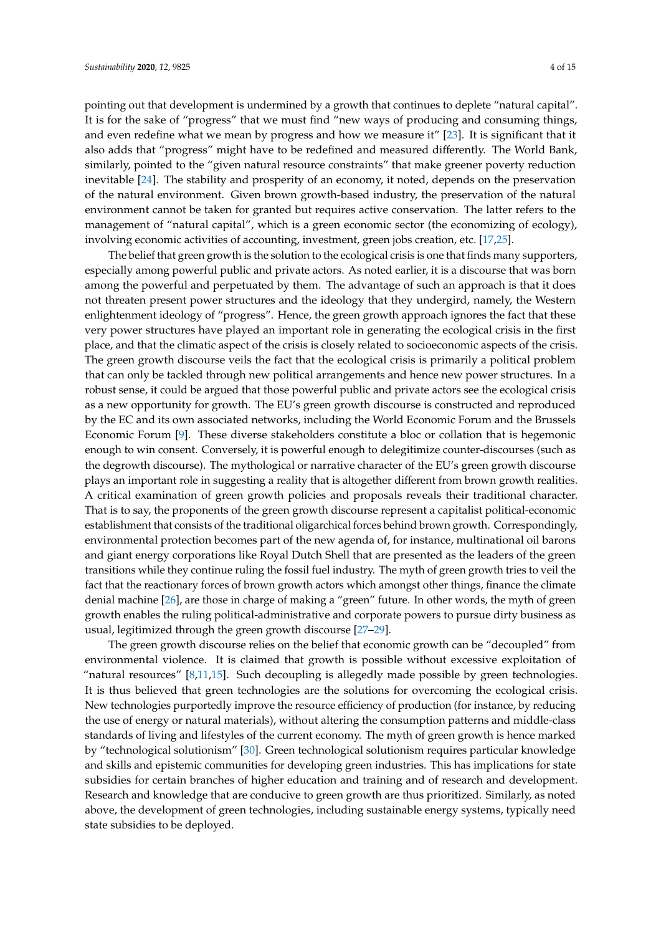pointing out that development is undermined by a growth that continues to deplete "natural capital". It is for the sake of "progress" that we must find "new ways of producing and consuming things, and even redefine what we mean by progress and how we measure it" [\[23\]](#page-13-13). It is significant that it also adds that "progress" might have to be redefined and measured differently. The World Bank, similarly, pointed to the "given natural resource constraints" that make greener poverty reduction inevitable [\[24\]](#page-13-14). The stability and prosperity of an economy, it noted, depends on the preservation of the natural environment. Given brown growth-based industry, the preservation of the natural environment cannot be taken for granted but requires active conservation. The latter refers to the management of "natural capital", which is a green economic sector (the economizing of ecology), involving economic activities of accounting, investment, green jobs creation, etc. [\[17](#page-13-15)[,25\]](#page-13-16).

The belief that green growth is the solution to the ecological crisis is one that finds many supporters, especially among powerful public and private actors. As noted earlier, it is a discourse that was born among the powerful and perpetuated by them. The advantage of such an approach is that it does not threaten present power structures and the ideology that they undergird, namely, the Western enlightenment ideology of "progress". Hence, the green growth approach ignores the fact that these very power structures have played an important role in generating the ecological crisis in the first place, and that the climatic aspect of the crisis is closely related to socioeconomic aspects of the crisis. The green growth discourse veils the fact that the ecological crisis is primarily a political problem that can only be tackled through new political arrangements and hence new power structures. In a robust sense, it could be argued that those powerful public and private actors see the ecological crisis as a new opportunity for growth. The EU's green growth discourse is constructed and reproduced by the EC and its own associated networks, including the World Economic Forum and the Brussels Economic Forum [\[9\]](#page-13-1). These diverse stakeholders constitute a bloc or collation that is hegemonic enough to win consent. Conversely, it is powerful enough to delegitimize counter-discourses (such as the degrowth discourse). The mythological or narrative character of the EU's green growth discourse plays an important role in suggesting a reality that is altogether different from brown growth realities. A critical examination of green growth policies and proposals reveals their traditional character. That is to say, the proponents of the green growth discourse represent a capitalist political-economic establishment that consists of the traditional oligarchical forces behind brown growth. Correspondingly, environmental protection becomes part of the new agenda of, for instance, multinational oil barons and giant energy corporations like Royal Dutch Shell that are presented as the leaders of the green transitions while they continue ruling the fossil fuel industry. The myth of green growth tries to veil the fact that the reactionary forces of brown growth actors which amongst other things, finance the climate denial machine [\[26\]](#page-13-17), are those in charge of making a "green" future. In other words, the myth of green growth enables the ruling political-administrative and corporate powers to pursue dirty business as usual, legitimized through the green growth discourse [\[27–](#page-13-18)[29\]](#page-13-19).

The green growth discourse relies on the belief that economic growth can be "decoupled" from environmental violence. It is claimed that growth is possible without excessive exploitation of "natural resources" [\[8](#page-13-0)[,11,](#page-13-3)[15\]](#page-13-12). Such decoupling is allegedly made possible by green technologies. It is thus believed that green technologies are the solutions for overcoming the ecological crisis. New technologies purportedly improve the resource efficiency of production (for instance, by reducing the use of energy or natural materials), without altering the consumption patterns and middle-class standards of living and lifestyles of the current economy. The myth of green growth is hence marked by "technological solutionism" [\[30\]](#page-13-20). Green technological solutionism requires particular knowledge and skills and epistemic communities for developing green industries. This has implications for state subsidies for certain branches of higher education and training and of research and development. Research and knowledge that are conducive to green growth are thus prioritized. Similarly, as noted above, the development of green technologies, including sustainable energy systems, typically need state subsidies to be deployed.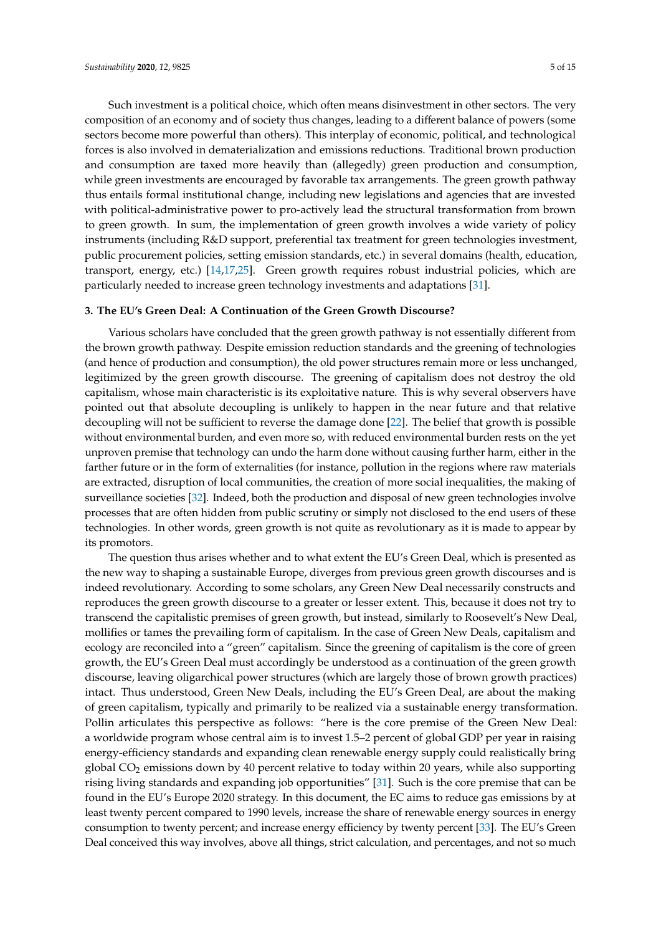Such investment is a political choice, which often means disinvestment in other sectors. The very composition of an economy and of society thus changes, leading to a different balance of powers (some sectors become more powerful than others). This interplay of economic, political, and technological forces is also involved in dematerialization and emissions reductions. Traditional brown production and consumption are taxed more heavily than (allegedly) green production and consumption, while green investments are encouraged by favorable tax arrangements. The green growth pathway thus entails formal institutional change, including new legislations and agencies that are invested with political-administrative power to pro-actively lead the structural transformation from brown to green growth. In sum, the implementation of green growth involves a wide variety of policy instruments (including R&D support, preferential tax treatment for green technologies investment, public procurement policies, setting emission standards, etc.) in several domains (health, education, transport, energy, etc.) [\[14](#page-13-6)[,17](#page-13-15)[,25\]](#page-13-16). Green growth requires robust industrial policies, which are particularly needed to increase green technology investments and adaptations [\[31\]](#page-13-21).

#### **3. The EU's Green Deal: A Continuation of the Green Growth Discourse?**

Various scholars have concluded that the green growth pathway is not essentially different from the brown growth pathway. Despite emission reduction standards and the greening of technologies (and hence of production and consumption), the old power structures remain more or less unchanged, legitimized by the green growth discourse. The greening of capitalism does not destroy the old capitalism, whose main characteristic is its exploitative nature. This is why several observers have pointed out that absolute decoupling is unlikely to happen in the near future and that relative decoupling will not be sufficient to reverse the damage done [\[22\]](#page-13-11). The belief that growth is possible without environmental burden, and even more so, with reduced environmental burden rests on the yet unproven premise that technology can undo the harm done without causing further harm, either in the farther future or in the form of externalities (for instance, pollution in the regions where raw materials are extracted, disruption of local communities, the creation of more social inequalities, the making of surveillance societies [\[32\]](#page-13-22). Indeed, both the production and disposal of new green technologies involve processes that are often hidden from public scrutiny or simply not disclosed to the end users of these technologies. In other words, green growth is not quite as revolutionary as it is made to appear by its promotors.

The question thus arises whether and to what extent the EU's Green Deal, which is presented as the new way to shaping a sustainable Europe, diverges from previous green growth discourses and is indeed revolutionary. According to some scholars, any Green New Deal necessarily constructs and reproduces the green growth discourse to a greater or lesser extent. This, because it does not try to transcend the capitalistic premises of green growth, but instead, similarly to Roosevelt's New Deal, mollifies or tames the prevailing form of capitalism. In the case of Green New Deals, capitalism and ecology are reconciled into a "green" capitalism. Since the greening of capitalism is the core of green growth, the EU's Green Deal must accordingly be understood as a continuation of the green growth discourse, leaving oligarchical power structures (which are largely those of brown growth practices) intact. Thus understood, Green New Deals, including the EU's Green Deal, are about the making of green capitalism, typically and primarily to be realized via a sustainable energy transformation. Pollin articulates this perspective as follows: "here is the core premise of the Green New Deal: a worldwide program whose central aim is to invest 1.5–2 percent of global GDP per year in raising energy-efficiency standards and expanding clean renewable energy supply could realistically bring global  $CO<sub>2</sub>$  emissions down by 40 percent relative to today within 20 years, while also supporting rising living standards and expanding job opportunities" [\[31\]](#page-13-21). Such is the core premise that can be found in the EU's Europe 2020 strategy. In this document, the EC aims to reduce gas emissions by at least twenty percent compared to 1990 levels, increase the share of renewable energy sources in energy consumption to twenty percent; and increase energy efficiency by twenty percent [\[33\]](#page-14-0). The EU's Green Deal conceived this way involves, above all things, strict calculation, and percentages, and not so much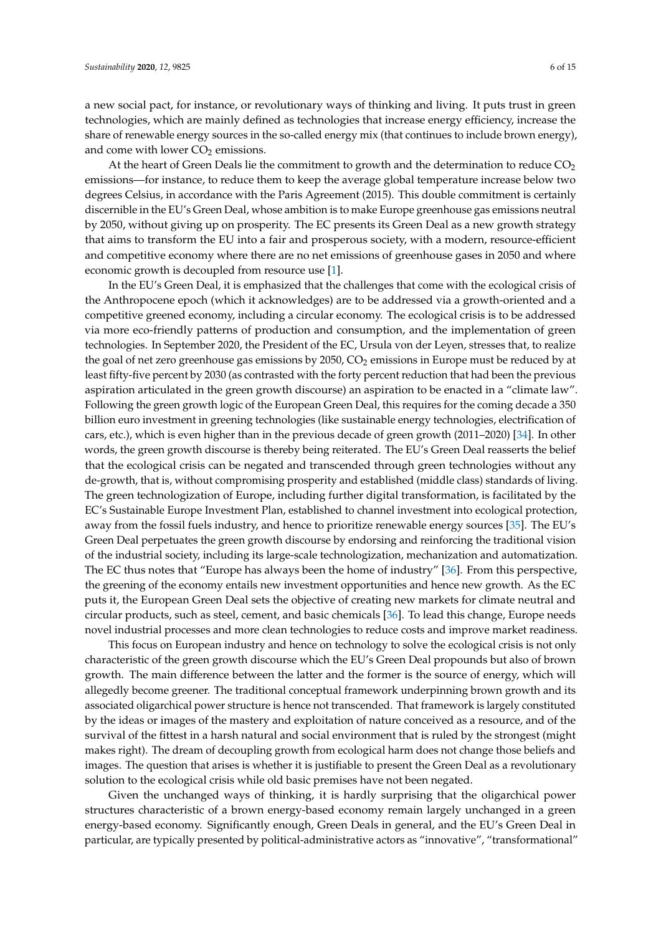a new social pact, for instance, or revolutionary ways of thinking and living. It puts trust in green technologies, which are mainly defined as technologies that increase energy efficiency, increase the share of renewable energy sources in the so-called energy mix (that continues to include brown energy), and come with lower  $CO<sub>2</sub>$  emissions.

At the heart of Green Deals lie the commitment to growth and the determination to reduce  $CO<sub>2</sub>$ emissions—for instance, to reduce them to keep the average global temperature increase below two degrees Celsius, in accordance with the Paris Agreement (2015). This double commitment is certainly discernible in the EU's Green Deal, whose ambition is to make Europe greenhouse gas emissions neutral by 2050, without giving up on prosperity. The EC presents its Green Deal as a new growth strategy that aims to transform the EU into a fair and prosperous society, with a modern, resource-efficient and competitive economy where there are no net emissions of greenhouse gases in 2050 and where economic growth is decoupled from resource use [\[1\]](#page-12-0).

In the EU's Green Deal, it is emphasized that the challenges that come with the ecological crisis of the Anthropocene epoch (which it acknowledges) are to be addressed via a growth-oriented and a competitive greened economy, including a circular economy. The ecological crisis is to be addressed via more eco-friendly patterns of production and consumption, and the implementation of green technologies. In September 2020, the President of the EC, Ursula von der Leyen, stresses that, to realize the goal of net zero greenhouse gas emissions by 2050,  $CO<sub>2</sub>$  emissions in Europe must be reduced by at least fifty-five percent by 2030 (as contrasted with the forty percent reduction that had been the previous aspiration articulated in the green growth discourse) an aspiration to be enacted in a "climate law". Following the green growth logic of the European Green Deal, this requires for the coming decade a 350 billion euro investment in greening technologies (like sustainable energy technologies, electrification of cars, etc.), which is even higher than in the previous decade of green growth (2011–2020) [\[34\]](#page-14-1). In other words, the green growth discourse is thereby being reiterated. The EU's Green Deal reasserts the belief that the ecological crisis can be negated and transcended through green technologies without any de-growth, that is, without compromising prosperity and established (middle class) standards of living. The green technologization of Europe, including further digital transformation, is facilitated by the EC's Sustainable Europe Investment Plan, established to channel investment into ecological protection, away from the fossil fuels industry, and hence to prioritize renewable energy sources [\[35\]](#page-14-2). The EU's Green Deal perpetuates the green growth discourse by endorsing and reinforcing the traditional vision of the industrial society, including its large-scale technologization, mechanization and automatization. The EC thus notes that "Europe has always been the home of industry" [\[36\]](#page-14-3). From this perspective, the greening of the economy entails new investment opportunities and hence new growth. As the EC puts it, the European Green Deal sets the objective of creating new markets for climate neutral and circular products, such as steel, cement, and basic chemicals [\[36\]](#page-14-3). To lead this change, Europe needs novel industrial processes and more clean technologies to reduce costs and improve market readiness.

This focus on European industry and hence on technology to solve the ecological crisis is not only characteristic of the green growth discourse which the EU's Green Deal propounds but also of brown growth. The main difference between the latter and the former is the source of energy, which will allegedly become greener. The traditional conceptual framework underpinning brown growth and its associated oligarchical power structure is hence not transcended. That framework is largely constituted by the ideas or images of the mastery and exploitation of nature conceived as a resource, and of the survival of the fittest in a harsh natural and social environment that is ruled by the strongest (might makes right). The dream of decoupling growth from ecological harm does not change those beliefs and images. The question that arises is whether it is justifiable to present the Green Deal as a revolutionary solution to the ecological crisis while old basic premises have not been negated.

Given the unchanged ways of thinking, it is hardly surprising that the oligarchical power structures characteristic of a brown energy-based economy remain largely unchanged in a green energy-based economy. Significantly enough, Green Deals in general, and the EU's Green Deal in particular, are typically presented by political-administrative actors as "innovative", "transformational"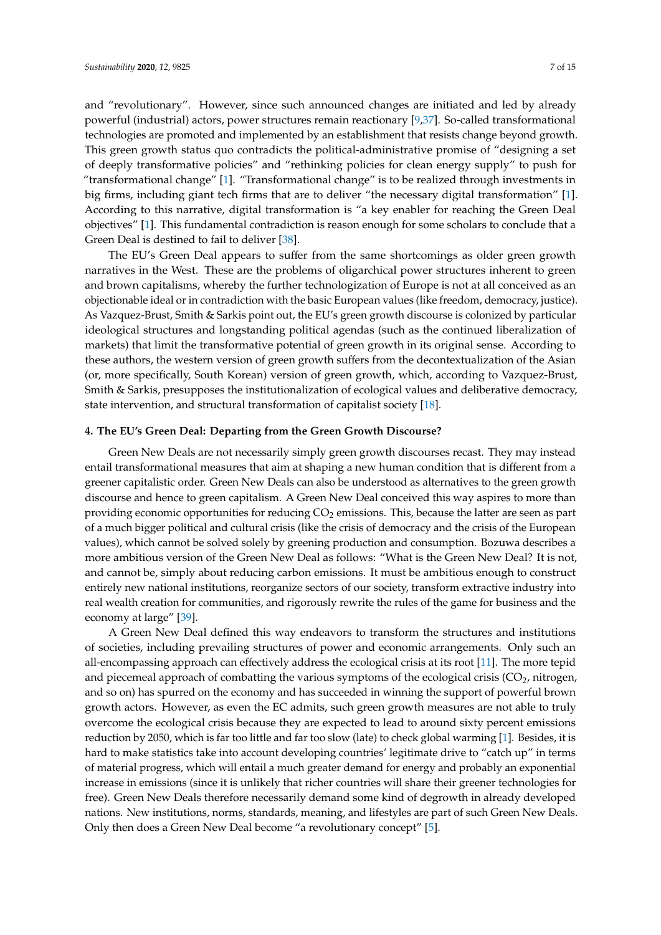and "revolutionary". However, since such announced changes are initiated and led by already powerful (industrial) actors, power structures remain reactionary [\[9,](#page-13-1)[37\]](#page-14-4). So-called transformational technologies are promoted and implemented by an establishment that resists change beyond growth. This green growth status quo contradicts the political-administrative promise of "designing a set of deeply transformative policies" and "rethinking policies for clean energy supply" to push for "transformational change" [\[1\]](#page-12-0). "Transformational change" is to be realized through investments in big firms, including giant tech firms that are to deliver "the necessary digital transformation" [\[1\]](#page-12-0). According to this narrative, digital transformation is "a key enabler for reaching the Green Deal objectives" [\[1\]](#page-12-0). This fundamental contradiction is reason enough for some scholars to conclude that a Green Deal is destined to fail to deliver [\[38\]](#page-14-5).

The EU's Green Deal appears to suffer from the same shortcomings as older green growth narratives in the West. These are the problems of oligarchical power structures inherent to green and brown capitalisms, whereby the further technologization of Europe is not at all conceived as an objectionable ideal or in contradiction with the basic European values (like freedom, democracy, justice). As Vazquez-Brust, Smith & Sarkis point out, the EU's green growth discourse is colonized by particular ideological structures and longstanding political agendas (such as the continued liberalization of markets) that limit the transformative potential of green growth in its original sense. According to these authors, the western version of green growth suffers from the decontextualization of the Asian (or, more specifically, South Korean) version of green growth, which, according to Vazquez-Brust, Smith & Sarkis, presupposes the institutionalization of ecological values and deliberative democracy, state intervention, and structural transformation of capitalist society [\[18\]](#page-13-7).

#### **4. The EU's Green Deal: Departing from the Green Growth Discourse?**

Green New Deals are not necessarily simply green growth discourses recast. They may instead entail transformational measures that aim at shaping a new human condition that is different from a greener capitalistic order. Green New Deals can also be understood as alternatives to the green growth discourse and hence to green capitalism. A Green New Deal conceived this way aspires to more than providing economic opportunities for reducing  $CO<sub>2</sub>$  emissions. This, because the latter are seen as part of a much bigger political and cultural crisis (like the crisis of democracy and the crisis of the European values), which cannot be solved solely by greening production and consumption. Bozuwa describes a more ambitious version of the Green New Deal as follows: "What is the Green New Deal? It is not, and cannot be, simply about reducing carbon emissions. It must be ambitious enough to construct entirely new national institutions, reorganize sectors of our society, transform extractive industry into real wealth creation for communities, and rigorously rewrite the rules of the game for business and the economy at large" [\[39\]](#page-14-6).

A Green New Deal defined this way endeavors to transform the structures and institutions of societies, including prevailing structures of power and economic arrangements. Only such an all-encompassing approach can effectively address the ecological crisis at its root [\[11\]](#page-13-3). The more tepid and piecemeal approach of combatting the various symptoms of the ecological crisis  $(CO<sub>2</sub>)$ , nitrogen, and so on) has spurred on the economy and has succeeded in winning the support of powerful brown growth actors. However, as even the EC admits, such green growth measures are not able to truly overcome the ecological crisis because they are expected to lead to around sixty percent emissions reduction by 2050, which is far too little and far too slow (late) to check global warming [\[1\]](#page-12-0). Besides, it is hard to make statistics take into account developing countries' legitimate drive to "catch up" in terms of material progress, which will entail a much greater demand for energy and probably an exponential increase in emissions (since it is unlikely that richer countries will share their greener technologies for free). Green New Deals therefore necessarily demand some kind of degrowth in already developed nations. New institutions, norms, standards, meaning, and lifestyles are part of such Green New Deals. Only then does a Green New Deal become "a revolutionary concept" [\[5\]](#page-12-3).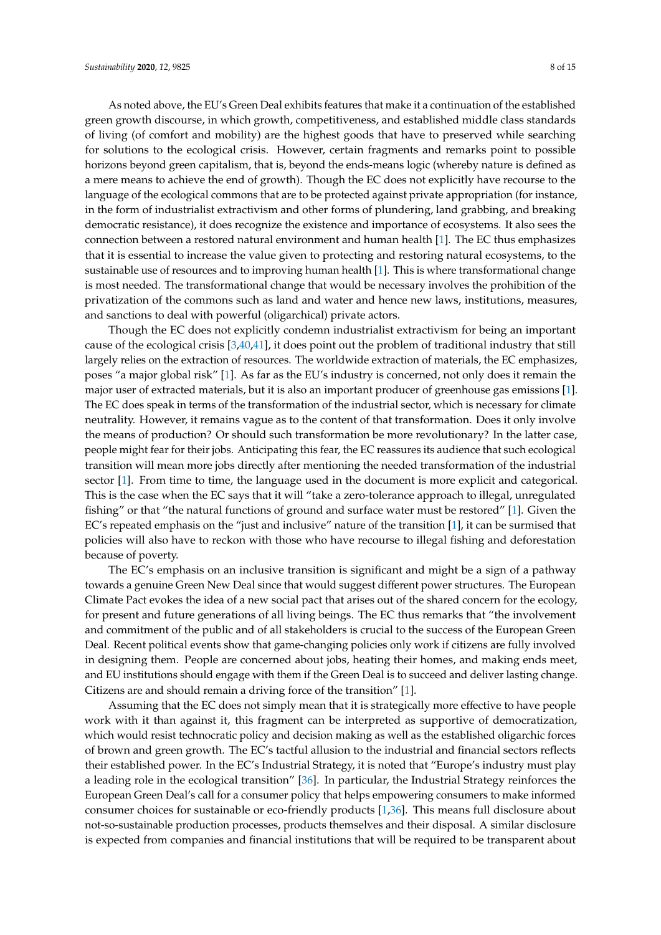As noted above, the EU's Green Deal exhibits features that make it a continuation of the established green growth discourse, in which growth, competitiveness, and established middle class standards of living (of comfort and mobility) are the highest goods that have to preserved while searching for solutions to the ecological crisis. However, certain fragments and remarks point to possible horizons beyond green capitalism, that is, beyond the ends-means logic (whereby nature is defined as a mere means to achieve the end of growth). Though the EC does not explicitly have recourse to the language of the ecological commons that are to be protected against private appropriation (for instance, in the form of industrialist extractivism and other forms of plundering, land grabbing, and breaking democratic resistance), it does recognize the existence and importance of ecosystems. It also sees the connection between a restored natural environment and human health [\[1\]](#page-12-0). The EC thus emphasizes that it is essential to increase the value given to protecting and restoring natural ecosystems, to the sustainable use of resources and to improving human health [\[1\]](#page-12-0). This is where transformational change is most needed. The transformational change that would be necessary involves the prohibition of the privatization of the commons such as land and water and hence new laws, institutions, measures, and sanctions to deal with powerful (oligarchical) private actors.

Though the EC does not explicitly condemn industrialist extractivism for being an important cause of the ecological crisis  $[3,40,41]$  $[3,40,41]$  $[3,40,41]$ , it does point out the problem of traditional industry that still largely relies on the extraction of resources. The worldwide extraction of materials, the EC emphasizes, poses "a major global risk" [\[1\]](#page-12-0). As far as the EU's industry is concerned, not only does it remain the major user of extracted materials, but it is also an important producer of greenhouse gas emissions [\[1\]](#page-12-0). The EC does speak in terms of the transformation of the industrial sector, which is necessary for climate neutrality. However, it remains vague as to the content of that transformation. Does it only involve the means of production? Or should such transformation be more revolutionary? In the latter case, people might fear for their jobs. Anticipating this fear, the EC reassures its audience that such ecological transition will mean more jobs directly after mentioning the needed transformation of the industrial sector [\[1\]](#page-12-0). From time to time, the language used in the document is more explicit and categorical. This is the case when the EC says that it will "take a zero-tolerance approach to illegal, unregulated fishing" or that "the natural functions of ground and surface water must be restored" [\[1\]](#page-12-0). Given the EC's repeated emphasis on the "just and inclusive" nature of the transition [\[1\]](#page-12-0), it can be surmised that policies will also have to reckon with those who have recourse to illegal fishing and deforestation because of poverty.

The EC's emphasis on an inclusive transition is significant and might be a sign of a pathway towards a genuine Green New Deal since that would suggest different power structures. The European Climate Pact evokes the idea of a new social pact that arises out of the shared concern for the ecology, for present and future generations of all living beings. The EC thus remarks that "the involvement and commitment of the public and of all stakeholders is crucial to the success of the European Green Deal. Recent political events show that game-changing policies only work if citizens are fully involved in designing them. People are concerned about jobs, heating their homes, and making ends meet, and EU institutions should engage with them if the Green Deal is to succeed and deliver lasting change. Citizens are and should remain a driving force of the transition" [\[1\]](#page-12-0).

Assuming that the EC does not simply mean that it is strategically more effective to have people work with it than against it, this fragment can be interpreted as supportive of democratization, which would resist technocratic policy and decision making as well as the established oligarchic forces of brown and green growth. The EC's tactful allusion to the industrial and financial sectors reflects their established power. In the EC's Industrial Strategy, it is noted that "Europe's industry must play a leading role in the ecological transition" [\[36\]](#page-14-3). In particular, the Industrial Strategy reinforces the European Green Deal's call for a consumer policy that helps empowering consumers to make informed consumer choices for sustainable or eco-friendly products [\[1,](#page-12-0)[36\]](#page-14-3). This means full disclosure about not-so-sustainable production processes, products themselves and their disposal. A similar disclosure is expected from companies and financial institutions that will be required to be transparent about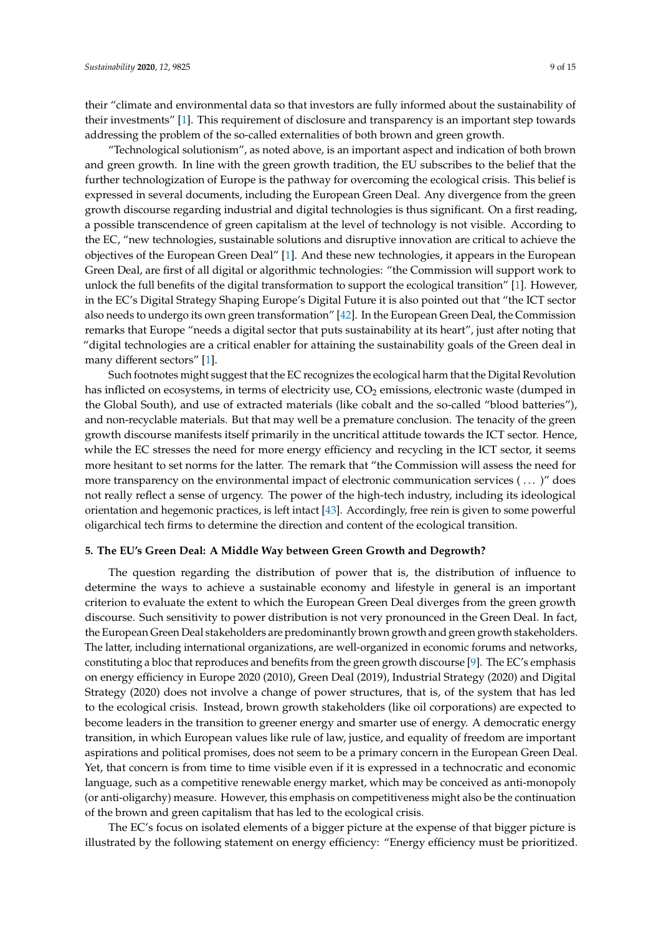their "climate and environmental data so that investors are fully informed about the sustainability of their investments" [\[1\]](#page-12-0). This requirement of disclosure and transparency is an important step towards addressing the problem of the so-called externalities of both brown and green growth.

"Technological solutionism", as noted above, is an important aspect and indication of both brown and green growth. In line with the green growth tradition, the EU subscribes to the belief that the further technologization of Europe is the pathway for overcoming the ecological crisis. This belief is expressed in several documents, including the European Green Deal. Any divergence from the green growth discourse regarding industrial and digital technologies is thus significant. On a first reading, a possible transcendence of green capitalism at the level of technology is not visible. According to the EC, "new technologies, sustainable solutions and disruptive innovation are critical to achieve the objectives of the European Green Deal" [\[1\]](#page-12-0). And these new technologies, it appears in the European Green Deal, are first of all digital or algorithmic technologies: "the Commission will support work to unlock the full benefits of the digital transformation to support the ecological transition" [\[1\]](#page-12-0). However, in the EC's Digital Strategy Shaping Europe's Digital Future it is also pointed out that "the ICT sector also needs to undergo its own green transformation" [\[42\]](#page-14-9). In the European Green Deal, the Commission remarks that Europe "needs a digital sector that puts sustainability at its heart", just after noting that "digital technologies are a critical enabler for attaining the sustainability goals of the Green deal in many different sectors" [\[1\]](#page-12-0).

Such footnotes might suggest that the EC recognizes the ecological harm that the Digital Revolution has inflicted on ecosystems, in terms of electricity use, CO<sub>2</sub> emissions, electronic waste (dumped in the Global South), and use of extracted materials (like cobalt and the so-called "blood batteries"), and non-recyclable materials. But that may well be a premature conclusion. The tenacity of the green growth discourse manifests itself primarily in the uncritical attitude towards the ICT sector. Hence, while the EC stresses the need for more energy efficiency and recycling in the ICT sector, it seems more hesitant to set norms for the latter. The remark that "the Commission will assess the need for more transparency on the environmental impact of electronic communication services ( . . . )" does not really reflect a sense of urgency. The power of the high-tech industry, including its ideological orientation and hegemonic practices, is left intact [\[43\]](#page-14-10). Accordingly, free rein is given to some powerful oligarchical tech firms to determine the direction and content of the ecological transition.

#### **5. The EU's Green Deal: A Middle Way between Green Growth and Degrowth?**

The question regarding the distribution of power that is, the distribution of influence to determine the ways to achieve a sustainable economy and lifestyle in general is an important criterion to evaluate the extent to which the European Green Deal diverges from the green growth discourse. Such sensitivity to power distribution is not very pronounced in the Green Deal. In fact, the European Green Deal stakeholders are predominantly brown growth and green growth stakeholders. The latter, including international organizations, are well-organized in economic forums and networks, constituting a bloc that reproduces and benefits from the green growth discourse [\[9\]](#page-13-1). The EC's emphasis on energy efficiency in Europe 2020 (2010), Green Deal (2019), Industrial Strategy (2020) and Digital Strategy (2020) does not involve a change of power structures, that is, of the system that has led to the ecological crisis. Instead, brown growth stakeholders (like oil corporations) are expected to become leaders in the transition to greener energy and smarter use of energy. A democratic energy transition, in which European values like rule of law, justice, and equality of freedom are important aspirations and political promises, does not seem to be a primary concern in the European Green Deal. Yet, that concern is from time to time visible even if it is expressed in a technocratic and economic language, such as a competitive renewable energy market, which may be conceived as anti-monopoly (or anti-oligarchy) measure. However, this emphasis on competitiveness might also be the continuation of the brown and green capitalism that has led to the ecological crisis.

The EC's focus on isolated elements of a bigger picture at the expense of that bigger picture is illustrated by the following statement on energy efficiency: "Energy efficiency must be prioritized.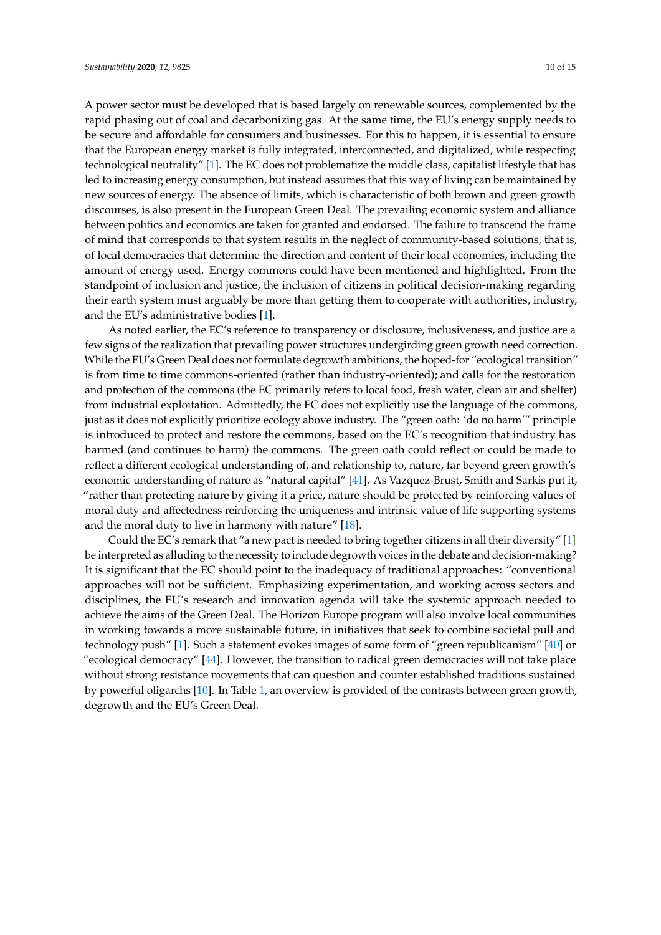A power sector must be developed that is based largely on renewable sources, complemented by the rapid phasing out of coal and decarbonizing gas. At the same time, the EU's energy supply needs to be secure and affordable for consumers and businesses. For this to happen, it is essential to ensure that the European energy market is fully integrated, interconnected, and digitalized, while respecting technological neutrality" [\[1\]](#page-12-0). The EC does not problematize the middle class, capitalist lifestyle that has led to increasing energy consumption, but instead assumes that this way of living can be maintained by new sources of energy. The absence of limits, which is characteristic of both brown and green growth discourses, is also present in the European Green Deal. The prevailing economic system and alliance between politics and economics are taken for granted and endorsed. The failure to transcend the frame of mind that corresponds to that system results in the neglect of community-based solutions, that is, of local democracies that determine the direction and content of their local economies, including the amount of energy used. Energy commons could have been mentioned and highlighted. From the standpoint of inclusion and justice, the inclusion of citizens in political decision-making regarding their earth system must arguably be more than getting them to cooperate with authorities, industry, and the EU's administrative bodies [\[1\]](#page-12-0).

As noted earlier, the EC's reference to transparency or disclosure, inclusiveness, and justice are a few signs of the realization that prevailing power structures undergirding green growth need correction. While the EU's Green Deal does not formulate degrowth ambitions, the hoped-for "ecological transition" is from time to time commons-oriented (rather than industry-oriented); and calls for the restoration and protection of the commons (the EC primarily refers to local food, fresh water, clean air and shelter) from industrial exploitation. Admittedly, the EC does not explicitly use the language of the commons, just as it does not explicitly prioritize ecology above industry. The "green oath: 'do no harm'" principle is introduced to protect and restore the commons, based on the EC's recognition that industry has harmed (and continues to harm) the commons. The green oath could reflect or could be made to reflect a different ecological understanding of, and relationship to, nature, far beyond green growth's economic understanding of nature as "natural capital" [\[41\]](#page-14-8). As Vazquez-Brust, Smith and Sarkis put it, "rather than protecting nature by giving it a price, nature should be protected by reinforcing values of moral duty and affectedness reinforcing the uniqueness and intrinsic value of life supporting systems and the moral duty to live in harmony with nature" [\[18\]](#page-13-7).

Could the EC's remark that "a new pact is needed to bring together citizens in all their diversity" [\[1\]](#page-12-0) be interpreted as alluding to the necessity to include degrowth voices in the debate and decision-making? It is significant that the EC should point to the inadequacy of traditional approaches: "conventional approaches will not be sufficient. Emphasizing experimentation, and working across sectors and disciplines, the EU's research and innovation agenda will take the systemic approach needed to achieve the aims of the Green Deal. The Horizon Europe program will also involve local communities in working towards a more sustainable future, in initiatives that seek to combine societal pull and technology push" [\[1\]](#page-12-0). Such a statement evokes images of some form of "green republicanism" [\[40\]](#page-14-7) or "ecological democracy" [\[44\]](#page-14-11). However, the transition to radical green democracies will not take place without strong resistance movements that can question and counter established traditions sustained by powerful oligarchs [\[10\]](#page-13-2). In Table [1,](#page-10-0) an overview is provided of the contrasts between green growth, degrowth and the EU's Green Deal.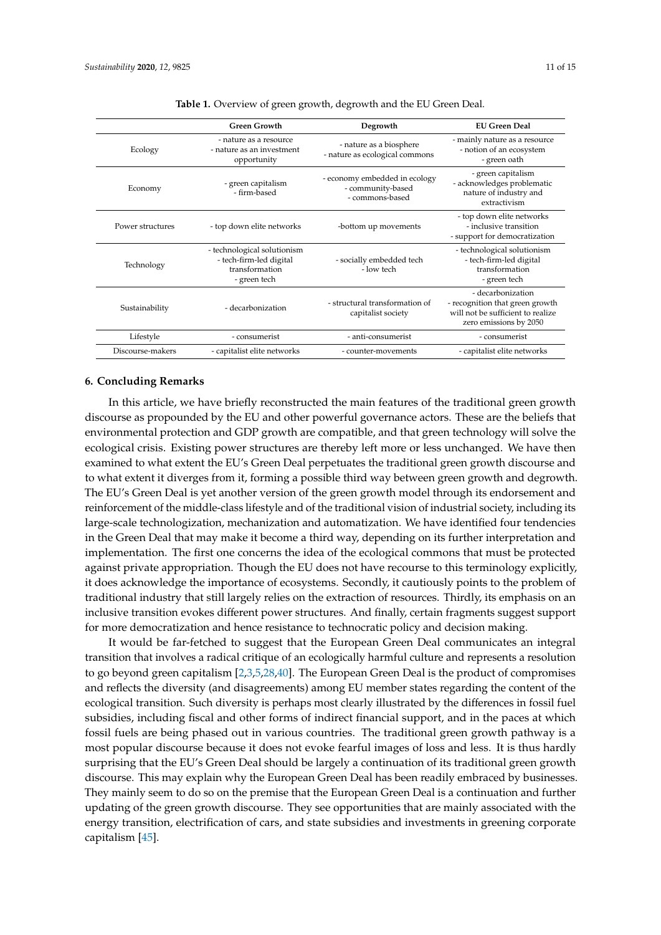<span id="page-10-0"></span>

|                  | <b>Green Growth</b>                                                                      | Degrowth                                                              | <b>EU Green Deal</b>                                                                                                |  |  |
|------------------|------------------------------------------------------------------------------------------|-----------------------------------------------------------------------|---------------------------------------------------------------------------------------------------------------------|--|--|
| Ecology          | - nature as a resource<br>- nature as an investment<br>opportunity                       | - nature as a biosphere<br>- nature as ecological commons             | - mainly nature as a resource<br>- notion of an ecosystem<br>- green oath                                           |  |  |
| Economy          | - green capitalism<br>- firm-based                                                       | - economy embedded in ecology<br>- community-based<br>- commons-based | - green capitalism<br>- acknowledges problematic<br>nature of industry and<br>extractivism                          |  |  |
| Power structures | - top down elite networks                                                                | -bottom up movements                                                  | - top down elite networks<br>- inclusive transition<br>- support for democratization                                |  |  |
| Technology       | - technological solutionism<br>- tech-firm-led digital<br>transformation<br>- green tech | - socially embedded tech<br>- low tech                                | - technological solutionism<br>- tech-firm-led digital<br>transformation<br>- green tech                            |  |  |
| Sustainability   | - decarbonization                                                                        | - structural transformation of<br>capitalist society                  | - decarbonization<br>- recognition that green growth<br>will not be sufficient to realize<br>zero emissions by 2050 |  |  |
| Lifestyle        | - consumerist                                                                            | - anti-consumerist                                                    | - consumerist                                                                                                       |  |  |
| Discourse-makers | - capitalist elite networks                                                              | - counter-movements                                                   | - capitalist elite networks                                                                                         |  |  |

|  | Table 1. Overview of green growth, degrowth and the EU Green Deal. |  |  |  |  |  |  |  |  |
|--|--------------------------------------------------------------------|--|--|--|--|--|--|--|--|
|--|--------------------------------------------------------------------|--|--|--|--|--|--|--|--|

#### **6. Concluding Remarks**

In this article, we have briefly reconstructed the main features of the traditional green growth discourse as propounded by the EU and other powerful governance actors. These are the beliefs that environmental protection and GDP growth are compatible, and that green technology will solve the ecological crisis. Existing power structures are thereby left more or less unchanged. We have then examined to what extent the EU's Green Deal perpetuates the traditional green growth discourse and to what extent it diverges from it, forming a possible third way between green growth and degrowth. The EU's Green Deal is yet another version of the green growth model through its endorsement and reinforcement of the middle-class lifestyle and of the traditional vision of industrial society, including its large-scale technologization, mechanization and automatization. We have identified four tendencies in the Green Deal that may make it become a third way, depending on its further interpretation and implementation. The first one concerns the idea of the ecological commons that must be protected against private appropriation. Though the EU does not have recourse to this terminology explicitly, it does acknowledge the importance of ecosystems. Secondly, it cautiously points to the problem of traditional industry that still largely relies on the extraction of resources. Thirdly, its emphasis on an inclusive transition evokes different power structures. And finally, certain fragments suggest support for more democratization and hence resistance to technocratic policy and decision making.

It would be far-fetched to suggest that the European Green Deal communicates an integral transition that involves a radical critique of an ecologically harmful culture and represents a resolution to go beyond green capitalism [\[2](#page-12-1)[,3](#page-12-6)[,5](#page-12-3)[,28](#page-13-23)[,40\]](#page-14-7). The European Green Deal is the product of compromises and reflects the diversity (and disagreements) among EU member states regarding the content of the ecological transition. Such diversity is perhaps most clearly illustrated by the differences in fossil fuel subsidies, including fiscal and other forms of indirect financial support, and in the paces at which fossil fuels are being phased out in various countries. The traditional green growth pathway is a most popular discourse because it does not evoke fearful images of loss and less. It is thus hardly surprising that the EU's Green Deal should be largely a continuation of its traditional green growth discourse. This may explain why the European Green Deal has been readily embraced by businesses. They mainly seem to do so on the premise that the European Green Deal is a continuation and further updating of the green growth discourse. They see opportunities that are mainly associated with the energy transition, electrification of cars, and state subsidies and investments in greening corporate capitalism [\[45\]](#page-14-12).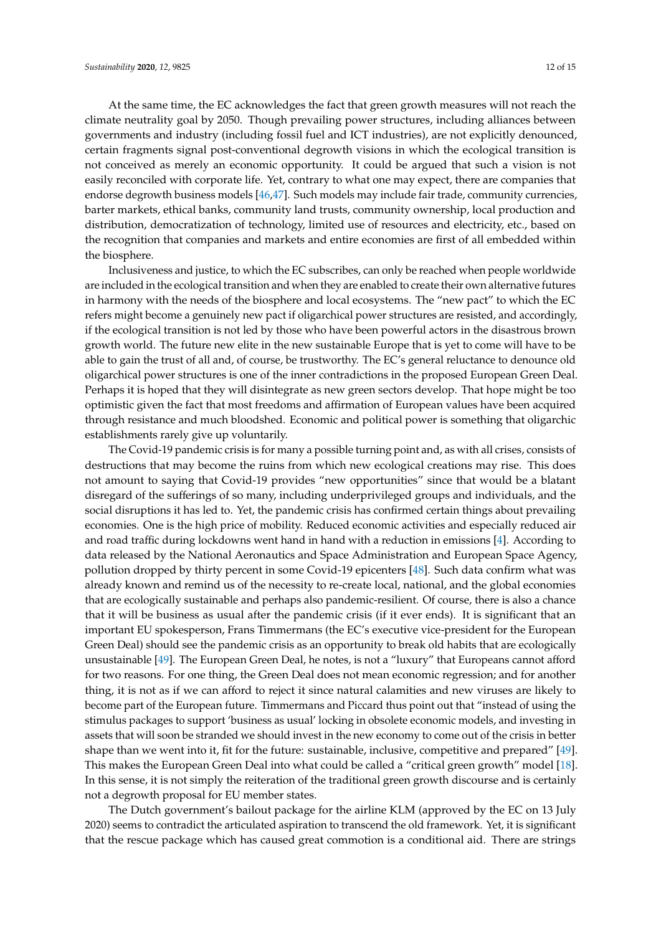the biosphere.

At the same time, the EC acknowledges the fact that green growth measures will not reach the climate neutrality goal by 2050. Though prevailing power structures, including alliances between governments and industry (including fossil fuel and ICT industries), are not explicitly denounced, certain fragments signal post-conventional degrowth visions in which the ecological transition is not conceived as merely an economic opportunity. It could be argued that such a vision is not easily reconciled with corporate life. Yet, contrary to what one may expect, there are companies that endorse degrowth business models [\[46,](#page-14-13)[47\]](#page-14-14). Such models may include fair trade, community currencies, barter markets, ethical banks, community land trusts, community ownership, local production and distribution, democratization of technology, limited use of resources and electricity, etc., based on the recognition that companies and markets and entire economies are first of all embedded within

Inclusiveness and justice, to which the EC subscribes, can only be reached when people worldwide are included in the ecological transition and when they are enabled to create their own alternative futures in harmony with the needs of the biosphere and local ecosystems. The "new pact" to which the EC refers might become a genuinely new pact if oligarchical power structures are resisted, and accordingly, if the ecological transition is not led by those who have been powerful actors in the disastrous brown growth world. The future new elite in the new sustainable Europe that is yet to come will have to be able to gain the trust of all and, of course, be trustworthy. The EC's general reluctance to denounce old oligarchical power structures is one of the inner contradictions in the proposed European Green Deal. Perhaps it is hoped that they will disintegrate as new green sectors develop. That hope might be too optimistic given the fact that most freedoms and affirmation of European values have been acquired through resistance and much bloodshed. Economic and political power is something that oligarchic establishments rarely give up voluntarily.

The Covid-19 pandemic crisis is for many a possible turning point and, as with all crises, consists of destructions that may become the ruins from which new ecological creations may rise. This does not amount to saying that Covid-19 provides "new opportunities" since that would be a blatant disregard of the sufferings of so many, including underprivileged groups and individuals, and the social disruptions it has led to. Yet, the pandemic crisis has confirmed certain things about prevailing economies. One is the high price of mobility. Reduced economic activities and especially reduced air and road traffic during lockdowns went hand in hand with a reduction in emissions [\[4\]](#page-12-2). According to data released by the National Aeronautics and Space Administration and European Space Agency, pollution dropped by thirty percent in some Covid-19 epicenters [\[48\]](#page-14-15). Such data confirm what was already known and remind us of the necessity to re-create local, national, and the global economies that are ecologically sustainable and perhaps also pandemic-resilient. Of course, there is also a chance that it will be business as usual after the pandemic crisis (if it ever ends). It is significant that an important EU spokesperson, Frans Timmermans (the EC's executive vice-president for the European Green Deal) should see the pandemic crisis as an opportunity to break old habits that are ecologically unsustainable [\[49\]](#page-14-16). The European Green Deal, he notes, is not a "luxury" that Europeans cannot afford for two reasons. For one thing, the Green Deal does not mean economic regression; and for another thing, it is not as if we can afford to reject it since natural calamities and new viruses are likely to become part of the European future. Timmermans and Piccard thus point out that "instead of using the stimulus packages to support 'business as usual' locking in obsolete economic models, and investing in assets that will soon be stranded we should invest in the new economy to come out of the crisis in better shape than we went into it, fit for the future: sustainable, inclusive, competitive and prepared" [\[49\]](#page-14-16). This makes the European Green Deal into what could be called a "critical green growth" model [\[18\]](#page-13-7). In this sense, it is not simply the reiteration of the traditional green growth discourse and is certainly not a degrowth proposal for EU member states.

The Dutch government's bailout package for the airline KLM (approved by the EC on 13 July 2020) seems to contradict the articulated aspiration to transcend the old framework. Yet, it is significant that the rescue package which has caused great commotion is a conditional aid. There are strings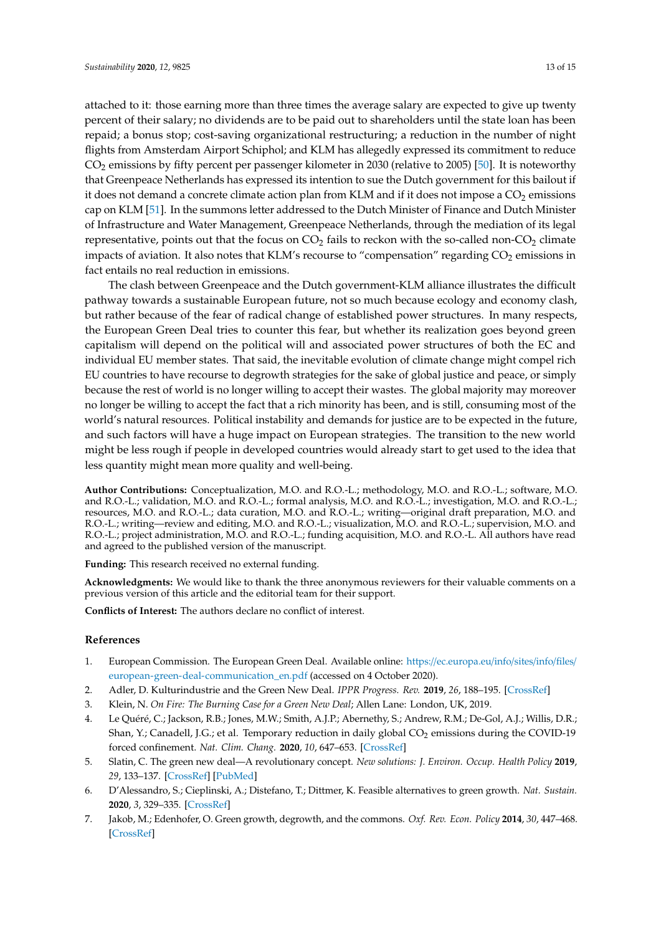attached to it: those earning more than three times the average salary are expected to give up twenty percent of their salary; no dividends are to be paid out to shareholders until the state loan has been repaid; a bonus stop; cost-saving organizational restructuring; a reduction in the number of night flights from Amsterdam Airport Schiphol; and KLM has allegedly expressed its commitment to reduce CO<sup>2</sup> emissions by fifty percent per passenger kilometer in 2030 (relative to 2005) [\[50\]](#page-14-17). It is noteworthy that Greenpeace Netherlands has expressed its intention to sue the Dutch government for this bailout if it does not demand a concrete climate action plan from KLM and if it does not impose a  $CO<sub>2</sub>$  emissions cap on KLM [\[51\]](#page-14-18). In the summons letter addressed to the Dutch Minister of Finance and Dutch Minister of Infrastructure and Water Management, Greenpeace Netherlands, through the mediation of its legal representative, points out that the focus on  $CO<sub>2</sub>$  fails to reckon with the so-called non- $CO<sub>2</sub>$  climate impacts of aviation. It also notes that KLM's recourse to "compensation" regarding CO<sub>2</sub> emissions in fact entails no real reduction in emissions.

The clash between Greenpeace and the Dutch government-KLM alliance illustrates the difficult pathway towards a sustainable European future, not so much because ecology and economy clash, but rather because of the fear of radical change of established power structures. In many respects, the European Green Deal tries to counter this fear, but whether its realization goes beyond green capitalism will depend on the political will and associated power structures of both the EC and individual EU member states. That said, the inevitable evolution of climate change might compel rich EU countries to have recourse to degrowth strategies for the sake of global justice and peace, or simply because the rest of world is no longer willing to accept their wastes. The global majority may moreover no longer be willing to accept the fact that a rich minority has been, and is still, consuming most of the world's natural resources. Political instability and demands for justice are to be expected in the future, and such factors will have a huge impact on European strategies. The transition to the new world might be less rough if people in developed countries would already start to get used to the idea that less quantity might mean more quality and well-being.

**Author Contributions:** Conceptualization, M.O. and R.O.-L.; methodology, M.O. and R.O.-L.; software, M.O. and R.O.-L.; validation, M.O. and R.O.-L.; formal analysis, M.O. and R.O.-L.; investigation, M.O. and R.O.-L.; resources, M.O. and R.O.-L.; data curation, M.O. and R.O.-L.; writing—original draft preparation, M.O. and R.O.-L.; writing—review and editing, M.O. and R.O.-L.; visualization, M.O. and R.O.-L.; supervision, M.O. and R.O.-L.; project administration, M.O. and R.O.-L.; funding acquisition, M.O. and R.O.-L. All authors have read and agreed to the published version of the manuscript.

**Funding:** This research received no external funding.

**Acknowledgments:** We would like to thank the three anonymous reviewers for their valuable comments on a previous version of this article and the editorial team for their support.

**Conflicts of Interest:** The authors declare no conflict of interest.

### **References**

- <span id="page-12-0"></span>1. European Commission. The European Green Deal. Available online: https://[ec.europa.eu](https://ec.europa.eu/info/sites/info/files/european-green-deal-communication_en.pdf)/info/sites/info/files/ [european-green-deal-communication\\_en.pdf](https://ec.europa.eu/info/sites/info/files/european-green-deal-communication_en.pdf) (accessed on 4 October 2020).
- <span id="page-12-1"></span>2. Adler, D. Kulturindustrie and the Green New Deal. *IPPR Progress. Rev.* **2019**, *26*, 188–195. [\[CrossRef\]](http://dx.doi.org/10.1111/newe.12157)
- <span id="page-12-6"></span>3. Klein, N. *On Fire: The Burning Case for a Green New Deal*; Allen Lane: London, UK, 2019.
- <span id="page-12-2"></span>4. Le Quéré, C.; Jackson, R.B.; Jones, M.W.; Smith, A.J.P.; Abernethy, S.; Andrew, R.M.; De-Gol, A.J.; Willis, D.R.; Shan, Y.; Canadell, J.G.; et al. Temporary reduction in daily global CO<sub>2</sub> emissions during the COVID-19 forced confinement. *Nat. Clim. Chang.* **2020**, *10*, 647–653. [\[CrossRef\]](http://dx.doi.org/10.1038/s41558-020-0797-x)
- <span id="page-12-3"></span>5. Slatin, C. The green new deal—A revolutionary concept. *New solutions: J. Environ. Occup. Health Policy* **2019**, *29*, 133–137. [\[CrossRef\]](http://dx.doi.org/10.1177/1048291119855671) [\[PubMed\]](http://www.ncbi.nlm.nih.gov/pubmed/31166146)
- <span id="page-12-4"></span>6. D'Alessandro, S.; Cieplinski, A.; Distefano, T.; Dittmer, K. Feasible alternatives to green growth. *Nat. Sustain.* **2020**, *3*, 329–335. [\[CrossRef\]](http://dx.doi.org/10.1038/s41893-020-0484-y)
- <span id="page-12-5"></span>7. Jakob, M.; Edenhofer, O. Green growth, degrowth, and the commons. *Oxf. Rev. Econ. Policy* **2014**, *30*, 447–468. [\[CrossRef\]](http://dx.doi.org/10.1093/oxrep/gru026)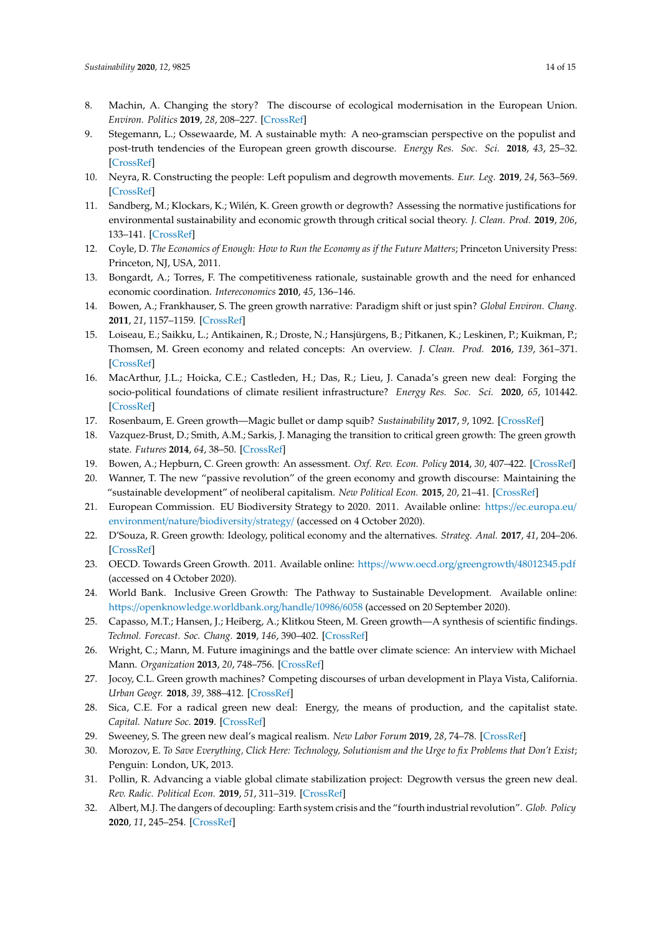- <span id="page-13-0"></span>8. Machin, A. Changing the story? The discourse of ecological modernisation in the European Union. *Environ. Politics* **2019**, *28*, 208–227. [\[CrossRef\]](http://dx.doi.org/10.1080/09644016.2019.1549780)
- <span id="page-13-1"></span>9. Stegemann, L.; Ossewaarde, M. A sustainable myth: A neo-gramscian perspective on the populist and post-truth tendencies of the European green growth discourse. *Energy Res. Soc. Sci.* **2018**, *43*, 25–32. [\[CrossRef\]](http://dx.doi.org/10.1016/j.erss.2018.05.015)
- <span id="page-13-2"></span>10. Neyra, R. Constructing the people: Left populism and degrowth movements. *Eur. Leg.* **2019**, *24*, 563–569. [\[CrossRef\]](http://dx.doi.org/10.1080/10848770.2018.1550896)
- <span id="page-13-3"></span>11. Sandberg, M.; Klockars, K.; Wilén, K. Green growth or degrowth? Assessing the normative justifications for environmental sustainability and economic growth through critical social theory. *J. Clean. Prod.* **2019**, *206*, 133–141. [\[CrossRef\]](http://dx.doi.org/10.1016/j.jclepro.2018.09.175)
- <span id="page-13-4"></span>12. Coyle, D. *The Economics of Enough: How to Run the Economy as if the Future Matters*; Princeton University Press: Princeton, NJ, USA, 2011.
- <span id="page-13-5"></span>13. Bongardt, A.; Torres, F. The competitiveness rationale, sustainable growth and the need for enhanced economic coordination. *Intereconomics* **2010**, *45*, 136–146.
- <span id="page-13-6"></span>14. Bowen, A.; Frankhauser, S. The green growth narrative: Paradigm shift or just spin? *Global Environ. Chang.* **2011**, *21*, 1157–1159. [\[CrossRef\]](http://dx.doi.org/10.1016/j.gloenvcha.2011.07.007)
- <span id="page-13-12"></span>15. Loiseau, E.; Saikku, L.; Antikainen, R.; Droste, N.; Hansjürgens, B.; Pitkanen, K.; Leskinen, P.; Kuikman, P.; Thomsen, M. Green economy and related concepts: An overview. *J. Clean. Prod.* **2016**, *139*, 361–371. [\[CrossRef\]](http://dx.doi.org/10.1016/j.jclepro.2016.08.024)
- 16. MacArthur, J.L.; Hoicka, C.E.; Castleden, H.; Das, R.; Lieu, J. Canada's green new deal: Forging the socio-political foundations of climate resilient infrastructure? *Energy Res. Soc. Sci.* **2020**, *65*, 101442. [\[CrossRef\]](http://dx.doi.org/10.1016/j.erss.2020.101442)
- <span id="page-13-15"></span>17. Rosenbaum, E. Green growth—Magic bullet or damp squib? *Sustainability* **2017**, *9*, 1092. [\[CrossRef\]](http://dx.doi.org/10.3390/su9071092)
- <span id="page-13-7"></span>18. Vazquez-Brust, D.; Smith, A.M.; Sarkis, J. Managing the transition to critical green growth: The green growth state. *Futures* **2014**, *64*, 38–50. [\[CrossRef\]](http://dx.doi.org/10.1016/j.futures.2014.10.005)
- <span id="page-13-8"></span>19. Bowen, A.; Hepburn, C. Green growth: An assessment. *Oxf. Rev. Econ. Policy* **2014**, *30*, 407–422. [\[CrossRef\]](http://dx.doi.org/10.1093/oxrep/gru029)
- <span id="page-13-9"></span>20. Wanner, T. The new "passive revolution" of the green economy and growth discourse: Maintaining the "sustainable development" of neoliberal capitalism. *New Political Econ.* **2015**, *20*, 21–41. [\[CrossRef\]](http://dx.doi.org/10.1080/13563467.2013.866081)
- <span id="page-13-10"></span>21. European Commission. EU Biodiversity Strategy to 2020. 2011. Available online: https://[ec.europa.eu](https://ec.europa.eu/environment/nature/biodiversity/strategy/)/ [environment](https://ec.europa.eu/environment/nature/biodiversity/strategy/)/nature/biodiversity/strategy/ (accessed on 4 October 2020).
- <span id="page-13-11"></span>22. D'Souza, R. Green growth: Ideology, political economy and the alternatives. *Strateg. Anal.* **2017**, *41*, 204–206. [\[CrossRef\]](http://dx.doi.org/10.1080/09700161.2017.1278881)
- <span id="page-13-13"></span>23. OECD. Towards Green Growth. 2011. Available online: https://[www.oecd.org](https://www.oecd.org/greengrowth/48012345.pdf)/greengrowth/48012345.pdf (accessed on 4 October 2020).
- <span id="page-13-14"></span>24. World Bank. Inclusive Green Growth: The Pathway to Sustainable Development. Available online: https://[openknowledge.worldbank.org](https://openknowledge.worldbank.org/handle/10986/6058)/handle/10986/6058 (accessed on 20 September 2020).
- <span id="page-13-16"></span>25. Capasso, M.T.; Hansen, J.; Heiberg, A.; Klitkou Steen, M. Green growth—A synthesis of scientific findings. *Technol. Forecast. Soc. Chang.* **2019**, *146*, 390–402. [\[CrossRef\]](http://dx.doi.org/10.1016/j.techfore.2019.06.013)
- <span id="page-13-17"></span>26. Wright, C.; Mann, M. Future imaginings and the battle over climate science: An interview with Michael Mann. *Organization* **2013**, *20*, 748–756. [\[CrossRef\]](http://dx.doi.org/10.1177/1350508413489818)
- <span id="page-13-18"></span>27. Jocoy, C.L. Green growth machines? Competing discourses of urban development in Playa Vista, California. *Urban Geogr.* **2018**, *39*, 388–412. [\[CrossRef\]](http://dx.doi.org/10.1080/02723638.2017.1333238)
- <span id="page-13-23"></span>28. Sica, C.E. For a radical green new deal: Energy, the means of production, and the capitalist state. *Capital. Nature Soc.* **2019**. [\[CrossRef\]](http://dx.doi.org/10.1080/10455752.2019.1692049)
- <span id="page-13-19"></span>29. Sweeney, S. The green new deal's magical realism. *New Labor Forum* **2019**, *28*, 74–78. [\[CrossRef\]](http://dx.doi.org/10.1177/1095796019837934)
- <span id="page-13-20"></span>30. Morozov, E. *To Save Everything, Click Here: Technology, Solutionism and the Urge to fix Problems that Don't Exist*; Penguin: London, UK, 2013.
- <span id="page-13-21"></span>31. Pollin, R. Advancing a viable global climate stabilization project: Degrowth versus the green new deal. *Rev. Radic. Political Econ.* **2019**, *51*, 311–319. [\[CrossRef\]](http://dx.doi.org/10.1177/0486613419833518)
- <span id="page-13-22"></span>32. Albert, M.J. The dangers of decoupling: Earth system crisis and the "fourth industrial revolution". *Glob. Policy* **2020**, *11*, 245–254. [\[CrossRef\]](http://dx.doi.org/10.1111/1758-5899.12791)